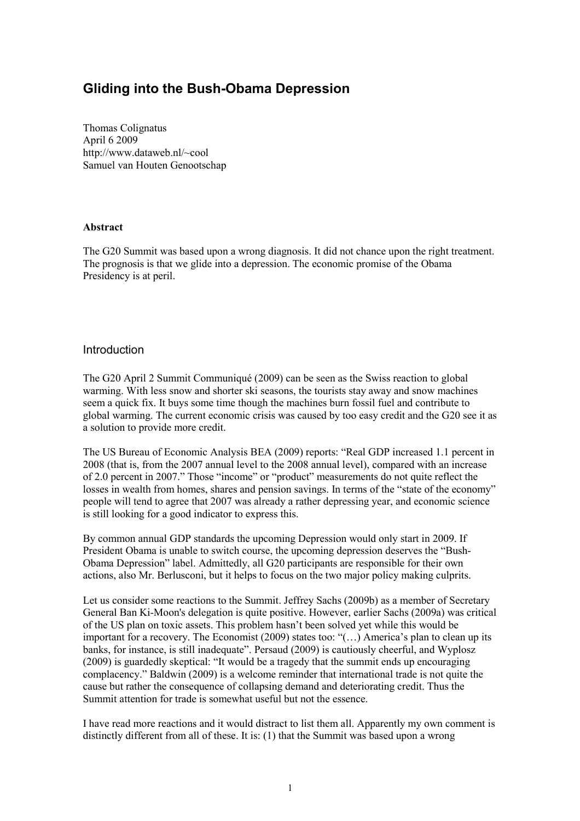# Gliding into the Bush-Obama Depression

Thomas Colignatus April 6 2009 http://www.dataweb.nl/~cool Samuel van Houten Genootschap

#### **Abstract**

The G20 Summit was based upon a wrong diagnosis. It did not chance upon the right treatment. The prognosis is that we glide into a depression. The economic promise of the Obama Presidency is at peril.

#### **Introduction**

The G20 April 2 Summit Communiqué (2009) can be seen as the Swiss reaction to global warming. With less snow and shorter ski seasons, the tourists stay away and snow machines seem a quick fix. It buys some time though the machines burn fossil fuel and contribute to global warming. The current economic crisis was caused by too easy credit and the G20 see it as a solution to provide more credit.

The US Bureau of Economic Analysis BEA (2009) reports: "Real GDP increased 1.1 percent in 2008 (that is, from the 2007 annual level to the 2008 annual level), compared with an increase of 2.0 percent in 2007." Those "income" or "product" measurements do not quite reflect the losses in wealth from homes, shares and pension savings. In terms of the "state of the economy" people will tend to agree that 2007 was already a rather depressing year, and economic science is still looking for a good indicator to express this.

By common annual GDP standards the upcoming Depression would only start in 2009. If President Obama is unable to switch course, the upcoming depression deserves the "Bush-Obama Depression" label. Admittedly, all G20 participants are responsible for their own actions, also Mr. Berlusconi, but it helps to focus on the two major policy making culprits.

Let us consider some reactions to the Summit. Jeffrey Sachs (2009b) as a member of Secretary General Ban Ki-Moon's delegation is quite positive. However, earlier Sachs (2009a) was critical of the US plan on toxic assets. This problem hasn't been solved yet while this would be important for a recovery. The Economist (2009) states too: "(…) America's plan to clean up its banks, for instance, is still inadequate". Persaud (2009) is cautiously cheerful, and Wyplosz (2009) is guardedly skeptical: "It would be a tragedy that the summit ends up encouraging complacency." Baldwin (2009) is a welcome reminder that international trade is not quite the cause but rather the consequence of collapsing demand and deteriorating credit. Thus the Summit attention for trade is somewhat useful but not the essence.

I have read more reactions and it would distract to list them all. Apparently my own comment is distinctly different from all of these. It is: (1) that the Summit was based upon a wrong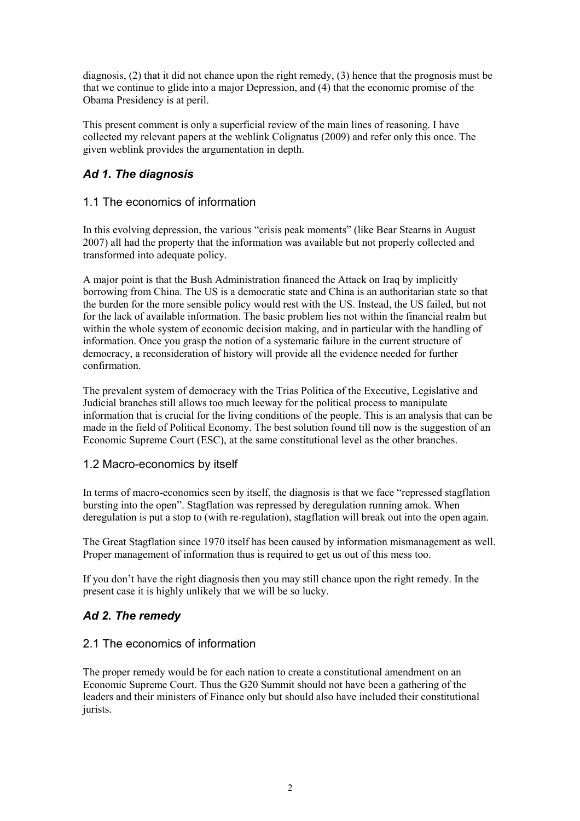diagnosis, (2) that it did not chance upon the right remedy, (3) hence that the prognosis must be that we continue to glide into a major Depression, and (4) that the economic promise of the Obama Presidency is at peril.

This present comment is only a superficial review of the main lines of reasoning. I have collected my relevant papers at the weblink Colignatus (2009) and refer only this once. The given weblink provides the argumentation in depth.

## Ad 1. The diagnosis

### 1.1 The economics of information

In this evolving depression, the various "crisis peak moments" (like Bear Stearns in August 2007) all had the property that the information was available but not properly collected and transformed into adequate policy.

A major point is that the Bush Administration financed the Attack on Iraq by implicitly borrowing from China. The US is a democratic state and China is an authoritarian state so that the burden for the more sensible policy would rest with the US. Instead, the US failed, but not for the lack of available information. The basic problem lies not within the financial realm but within the whole system of economic decision making, and in particular with the handling of information. Once you grasp the notion of a systematic failure in the current structure of democracy, a reconsideration of history will provide all the evidence needed for further confirmation.

The prevalent system of democracy with the Trias Politica of the Executive, Legislative and Judicial branches still allows too much leeway for the political process to manipulate information that is crucial for the living conditions of the people. This is an analysis that can be made in the field of Political Economy. The best solution found till now is the suggestion of an Economic Supreme Court (ESC), at the same constitutional level as the other branches.

### 1.2 Macro-economics by itself

In terms of macro-economics seen by itself, the diagnosis is that we face "repressed stagflation bursting into the open". Stagflation was repressed by deregulation running amok. When deregulation is put a stop to (with re-regulation), stagflation will break out into the open again.

The Great Stagflation since 1970 itself has been caused by information mismanagement as well. Proper management of information thus is required to get us out of this mess too.

If you don't have the right diagnosis then you may still chance upon the right remedy. In the present case it is highly unlikely that we will be so lucky.

## Ad 2. The remedy

### 2.1 The economics of information

The proper remedy would be for each nation to create a constitutional amendment on an Economic Supreme Court. Thus the G20 Summit should not have been a gathering of the leaders and their ministers of Finance only but should also have included their constitutional jurists.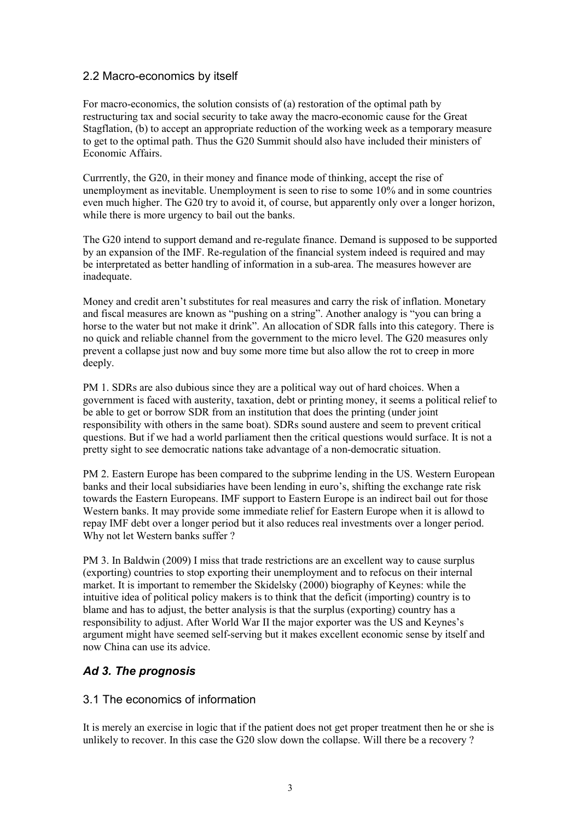### 2.2 Macro-economics by itself

For macro-economics, the solution consists of (a) restoration of the optimal path by restructuring tax and social security to take away the macro-economic cause for the Great Stagflation, (b) to accept an appropriate reduction of the working week as a temporary measure to get to the optimal path. Thus the G20 Summit should also have included their ministers of Economic Affairs.

Currrently, the G20, in their money and finance mode of thinking, accept the rise of unemployment as inevitable. Unemployment is seen to rise to some 10% and in some countries even much higher. The G20 try to avoid it, of course, but apparently only over a longer horizon, while there is more urgency to bail out the banks.

The G20 intend to support demand and re-regulate finance. Demand is supposed to be supported by an expansion of the IMF. Re-regulation of the financial system indeed is required and may be interpretated as better handling of information in a sub-area. The measures however are inadequate.

Money and credit aren't substitutes for real measures and carry the risk of inflation. Monetary and fiscal measures are known as "pushing on a string". Another analogy is "you can bring a horse to the water but not make it drink". An allocation of SDR falls into this category. There is no quick and reliable channel from the government to the micro level. The G20 measures only prevent a collapse just now and buy some more time but also allow the rot to creep in more deeply.

PM 1. SDRs are also dubious since they are a political way out of hard choices. When a government is faced with austerity, taxation, debt or printing money, it seems a political relief to be able to get or borrow SDR from an institution that does the printing (under joint responsibility with others in the same boat). SDRs sound austere and seem to prevent critical questions. But if we had a world parliament then the critical questions would surface. It is not a pretty sight to see democratic nations take advantage of a non-democratic situation.

PM 2. Eastern Europe has been compared to the subprime lending in the US. Western European banks and their local subsidiaries have been lending in euro's, shifting the exchange rate risk towards the Eastern Europeans. IMF support to Eastern Europe is an indirect bail out for those Western banks. It may provide some immediate relief for Eastern Europe when it is allowd to repay IMF debt over a longer period but it also reduces real investments over a longer period. Why not let Western banks suffer ?

PM 3. In Baldwin (2009) I miss that trade restrictions are an excellent way to cause surplus (exporting) countries to stop exporting their unemployment and to refocus on their internal market. It is important to remember the Skidelsky (2000) biography of Keynes: while the intuitive idea of political policy makers is to think that the deficit (importing) country is to blame and has to adjust, the better analysis is that the surplus (exporting) country has a responsibility to adjust. After World War II the major exporter was the US and Keynes's argument might have seemed self-serving but it makes excellent economic sense by itself and now China can use its advice.

### Ad 3. The prognosis

### 3.1 The economics of information

It is merely an exercise in logic that if the patient does not get proper treatment then he or she is unlikely to recover. In this case the G20 slow down the collapse. Will there be a recovery ?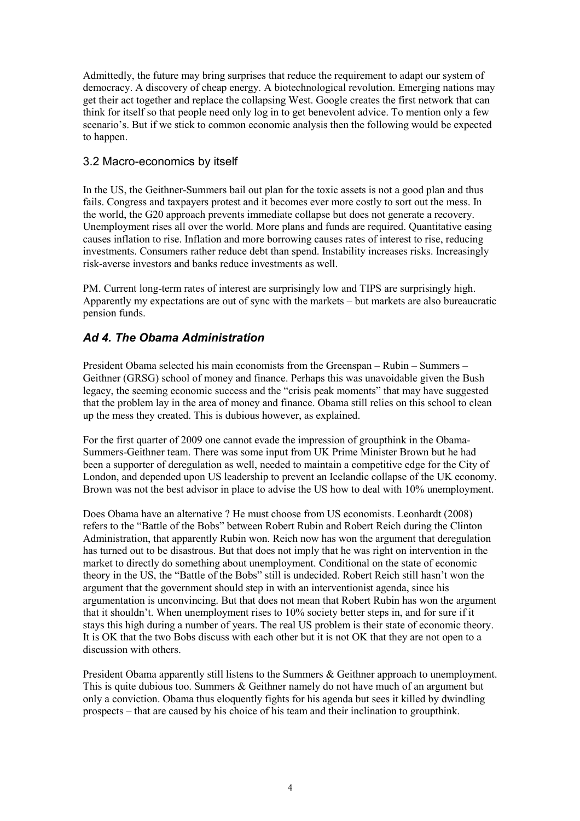Admittedly, the future may bring surprises that reduce the requirement to adapt our system of democracy. A discovery of cheap energy. A biotechnological revolution. Emerging nations may get their act together and replace the collapsing West. Google creates the first network that can think for itself so that people need only log in to get benevolent advice. To mention only a few scenario's. But if we stick to common economic analysis then the following would be expected to happen.

### 3.2 Macro-economics by itself

In the US, the Geithner-Summers bail out plan for the toxic assets is not a good plan and thus fails. Congress and taxpayers protest and it becomes ever more costly to sort out the mess. In the world, the G20 approach prevents immediate collapse but does not generate a recovery. Unemployment rises all over the world. More plans and funds are required. Quantitative easing causes inflation to rise. Inflation and more borrowing causes rates of interest to rise, reducing investments. Consumers rather reduce debt than spend. Instability increases risks. Increasingly risk-averse investors and banks reduce investments as well.

PM. Current long-term rates of interest are surprisingly low and TIPS are surprisingly high. Apparently my expectations are out of sync with the markets – but markets are also bureaucratic pension funds.

## Ad 4. The Obama Administration

President Obama selected his main economists from the Greenspan – Rubin – Summers – Geithner (GRSG) school of money and finance. Perhaps this was unavoidable given the Bush legacy, the seeming economic success and the "crisis peak moments" that may have suggested that the problem lay in the area of money and finance. Obama still relies on this school to clean up the mess they created. This is dubious however, as explained.

For the first quarter of 2009 one cannot evade the impression of groupthink in the Obama-Summers-Geithner team. There was some input from UK Prime Minister Brown but he had been a supporter of deregulation as well, needed to maintain a competitive edge for the City of London, and depended upon US leadership to prevent an Icelandic collapse of the UK economy. Brown was not the best advisor in place to advise the US how to deal with 10% unemployment.

Does Obama have an alternative ? He must choose from US economists. Leonhardt (2008) refers to the "Battle of the Bobs" between Robert Rubin and Robert Reich during the Clinton Administration, that apparently Rubin won. Reich now has won the argument that deregulation has turned out to be disastrous. But that does not imply that he was right on intervention in the market to directly do something about unemployment. Conditional on the state of economic theory in the US, the "Battle of the Bobs" still is undecided. Robert Reich still hasn't won the argument that the government should step in with an interventionist agenda, since his argumentation is unconvincing. But that does not mean that Robert Rubin has won the argument that it shouldn't. When unemployment rises to 10% society better steps in, and for sure if it stays this high during a number of years. The real US problem is their state of economic theory. It is OK that the two Bobs discuss with each other but it is not OK that they are not open to a discussion with others.

President Obama apparently still listens to the Summers & Geithner approach to unemployment. This is quite dubious too. Summers & Geithner namely do not have much of an argument but only a conviction. Obama thus eloquently fights for his agenda but sees it killed by dwindling prospects – that are caused by his choice of his team and their inclination to groupthink.